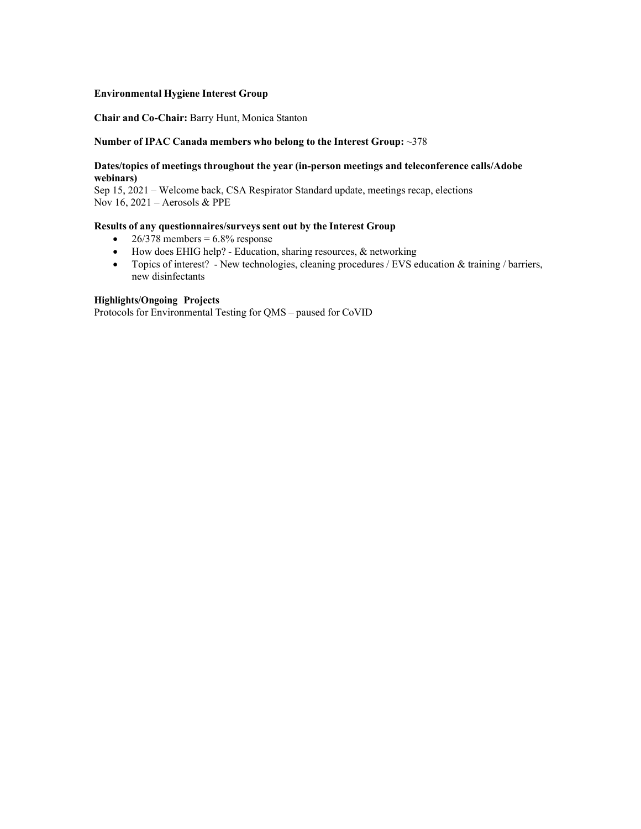#### **Environmental Hygiene Interest Group**

#### **Chair and Co-Chair:** Barry Hunt, Monica Stanton

#### **Number of IPAC Canada members who belong to the Interest Group:** ~378

#### **Dates/topics of meetings throughout the year (in-person meetings and teleconference calls/Adobe webinars)**

Sep 15, 2021 – Welcome back, CSA Respirator Standard update, meetings recap, elections Nov 16, 2021 – Aerosols & PPE

#### **Results of any questionnaires/surveys sent out by the Interest Group**

- $26/378$  members =  $6.8\%$  response
- How does EHIG help? Education, sharing resources, & networking
- Topics of interest? New technologies, cleaning procedures / EVS education & training / barriers, new disinfectants

## **Highlights/Ongoing Projects**

Protocols for Environmental Testing for QMS – paused for CoVID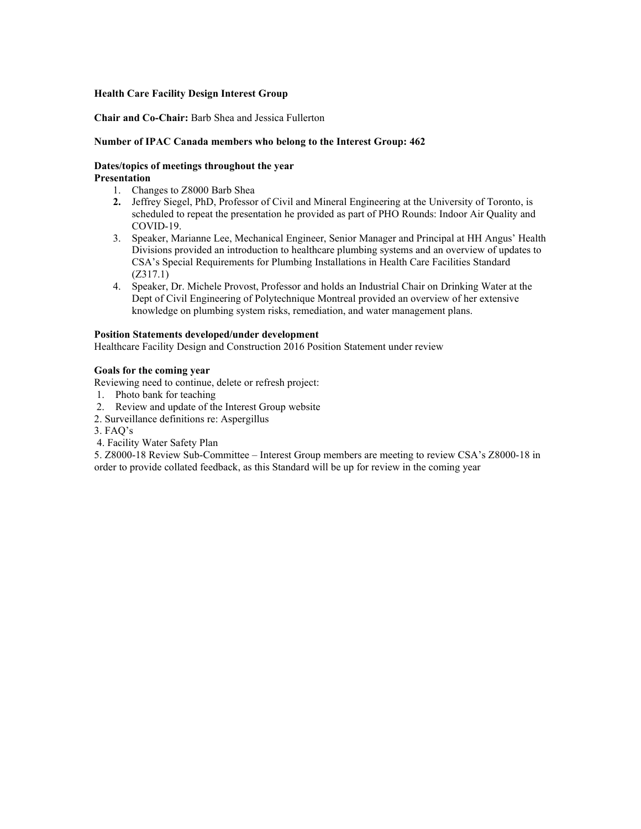#### **Health Care Facility Design Interest Group**

## **Chair and Co-Chair:** Barb Shea and Jessica Fullerton

## **Number of IPAC Canada members who belong to the Interest Group: 462**

#### **Dates/topics of meetings throughout the year Presentation**

- 1. Changes to Z8000 Barb Shea
- **2.** Jeffrey Siegel, PhD, Professor of Civil and Mineral Engineering at the University of Toronto, is scheduled to repeat the presentation he provided as part of PHO Rounds: Indoor Air Quality and COVID-19.
- 3. Speaker, Marianne Lee, Mechanical Engineer, Senior Manager and Principal at HH Angus' Health Divisions provided an introduction to healthcare plumbing systems and an overview of updates to CSA's Special Requirements for Plumbing Installations in Health Care Facilities Standard (Z317.1)
- 4. Speaker, Dr. Michele Provost, Professor and holds an Industrial Chair on Drinking Water at the Dept of Civil Engineering of Polytechnique Montreal provided an overview of her extensive knowledge on plumbing system risks, remediation, and water management plans.

#### **Position Statements developed/under development**

Healthcare Facility Design and Construction 2016 Position Statement under review

#### **Goals for the coming year**

Reviewing need to continue, delete or refresh project:

- 1. Photo bank for teaching
- 2. Review and update of the Interest Group website
- 2. Surveillance definitions re: Aspergillus
- 3. FAQ's
- 4. Facility Water Safety Plan

5. Z8000-18 Review Sub-Committee – Interest Group members are meeting to review CSA's Z8000-18 in order to provide collated feedback, as this Standard will be up for review in the coming year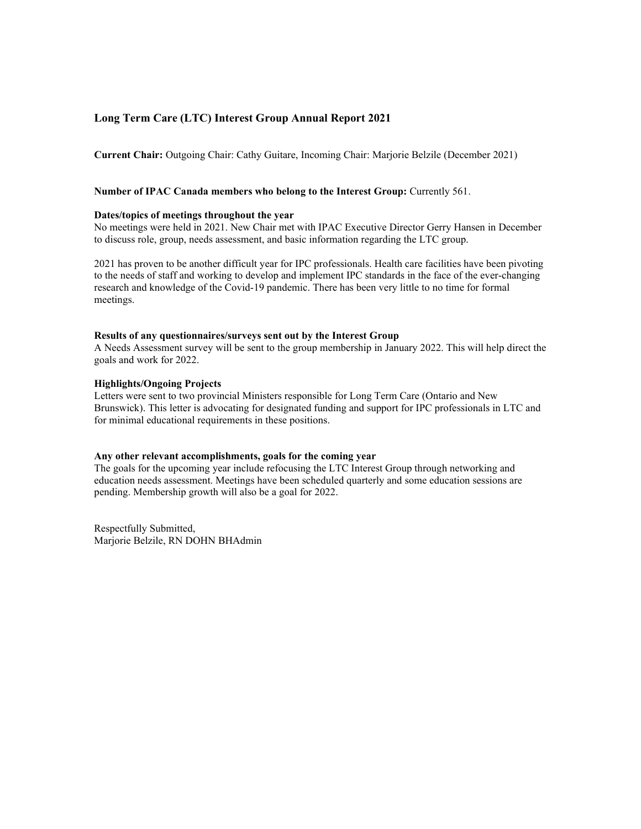## **Long Term Care (LTC) Interest Group Annual Report 2021**

**Current Chair:** Outgoing Chair: Cathy Guitare, Incoming Chair: Marjorie Belzile (December 2021)

#### **Number of IPAC Canada members who belong to the Interest Group:** Currently 561.

#### **Dates/topics of meetings throughout the year**

No meetings were held in 2021. New Chair met with IPAC Executive Director Gerry Hansen in December to discuss role, group, needs assessment, and basic information regarding the LTC group.

2021 has proven to be another difficult year for IPC professionals. Health care facilities have been pivoting to the needs of staff and working to develop and implement IPC standards in the face of the ever-changing research and knowledge of the Covid-19 pandemic. There has been very little to no time for formal meetings.

#### **Results of any questionnaires/surveys sent out by the Interest Group**

A Needs Assessment survey will be sent to the group membership in January 2022. This will help direct the goals and work for 2022.

#### **Highlights/Ongoing Projects**

Letters were sent to two provincial Ministers responsible for Long Term Care (Ontario and New Brunswick). This letter is advocating for designated funding and support for IPC professionals in LTC and for minimal educational requirements in these positions.

#### **Any other relevant accomplishments, goals for the coming year**

The goals for the upcoming year include refocusing the LTC Interest Group through networking and education needs assessment. Meetings have been scheduled quarterly and some education sessions are pending. Membership growth will also be a goal for 2022.

Respectfully Submitted, Marjorie Belzile, RN DOHN BHAdmin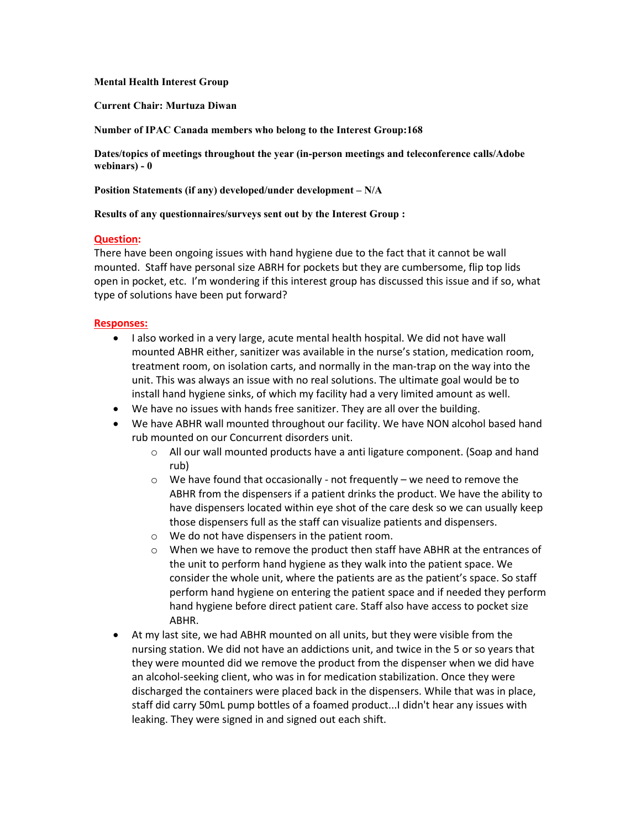## **Mental Health Interest Group**

**Current Chair: Murtuza Diwan**

**Number of IPAC Canada members who belong to the Interest Group:168**

**Dates/topics of meetings throughout the year (in-person meetings and teleconference calls/Adobe webinars) - 0**

**Position Statements (if any) developed/under development – N/A**

#### **Results of any questionnaires/surveys sent out by the Interest Group :**

## **Question:**

There have been ongoing issues with hand hygiene due to the fact that it cannot be wall mounted. Staff have personal size ABRH for pockets but they are cumbersome, flip top lids open in pocket, etc. I'm wondering if this interest group has discussed this issue and if so, what type of solutions have been put forward?

## **Responses:**

- I also worked in a very large, acute mental health hospital. We did not have wall mounted ABHR either, sanitizer was available in the nurse's station, medication room, treatment room, on isolation carts, and normally in the man-trap on the way into the unit. This was always an issue with no real solutions. The ultimate goal would be to install hand hygiene sinks, of which my facility had a very limited amount as well.
- We have no issues with hands free sanitizer. They are all over the building.
- We have ABHR wall mounted throughout our facility. We have NON alcohol based hand rub mounted on our Concurrent disorders unit.
	- $\circ$  All our wall mounted products have a anti ligature component. (Soap and hand rub)
	- $\circ$  We have found that occasionally not frequently we need to remove the ABHR from the dispensers if a patient drinks the product. We have the ability to have dispensers located within eye shot of the care desk so we can usually keep those dispensers full as the staff can visualize patients and dispensers.
	- o We do not have dispensers in the patient room.
	- $\circ$  When we have to remove the product then staff have ABHR at the entrances of the unit to perform hand hygiene as they walk into the patient space. We consider the whole unit, where the patients are as the patient's space. So staff perform hand hygiene on entering the patient space and if needed they perform hand hygiene before direct patient care. Staff also have access to pocket size ABHR.
- At my last site, we had ABHR mounted on all units, but they were visible from the nursing station. We did not have an addictions unit, and twice in the 5 or so years that they were mounted did we remove the product from the dispenser when we did have an alcohol-seeking client, who was in for medication stabilization. Once they were discharged the containers were placed back in the dispensers. While that was in place, staff did carry 50mL pump bottles of a foamed product...I didn't hear any issues with leaking. They were signed in and signed out each shift.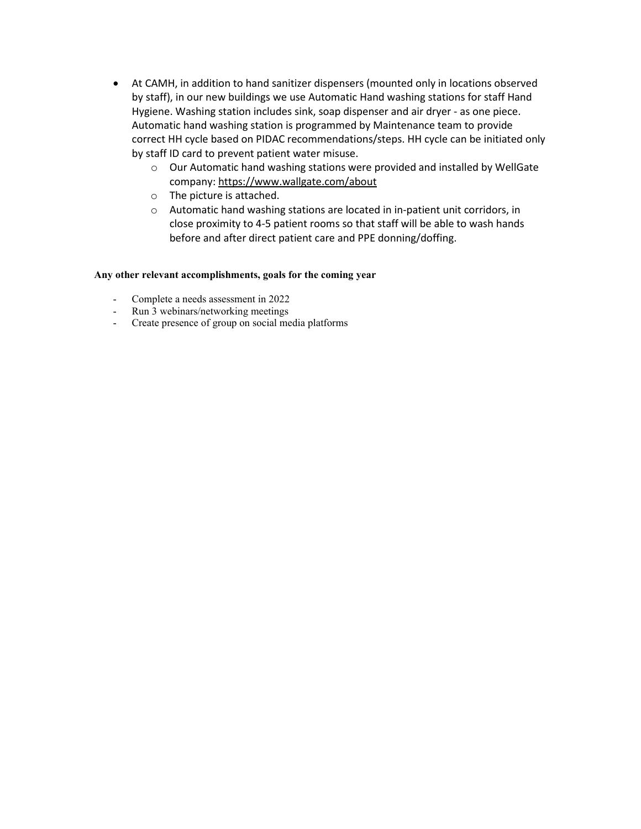- At CAMH, in addition to hand sanitizer dispensers (mounted only in locations observed by staff), in our new buildings we use Automatic Hand washing stations for staff Hand Hygiene. Washing station includes sink, soap dispenser and air dryer - as one piece. Automatic hand washing station is programmed by Maintenance team to provide correct HH cycle based on PIDAC recommendations/steps. HH cycle can be initiated only by staff ID card to prevent patient water misuse.
	- o Our Automatic hand washing stations were provided and installed by WellGate company[: https://www.wallgate.com/about](https://can01.safelinks.protection.outlook.com/?url=https%3A%2F%2Fwww.wallgate.com%2Fabout&data=04%7C01%7CMDIWAN%40haltonhealthcare.com%7C434a979229a443778c3c08d9edab51eb%7C60fc610c99ad44bca2d51ff574df5d0d%7C0%7C0%7C637802142356868738%7CUnknown%7CTWFpbGZsb3d8eyJWIjoiMC4wLjAwMDAiLCJQIjoiV2luMzIiLCJBTiI6Ik1haWwiLCJXVCI6Mn0%3D%7C3000&sdata=KEouSA0YvqzQjuYDCuBziANJY56TIhQ0oROSDUocPio%3D&reserved=0)
	- o The picture is attached.
	- o Automatic hand washing stations are located in in-patient unit corridors, in close proximity to 4-5 patient rooms so that staff will be able to wash hands before and after direct patient care and PPE donning/doffing.

## **Any other relevant accomplishments, goals for the coming year**

- Complete a needs assessment in 2022
- Run 3 webinars/networking meetings
- Create presence of group on social media platforms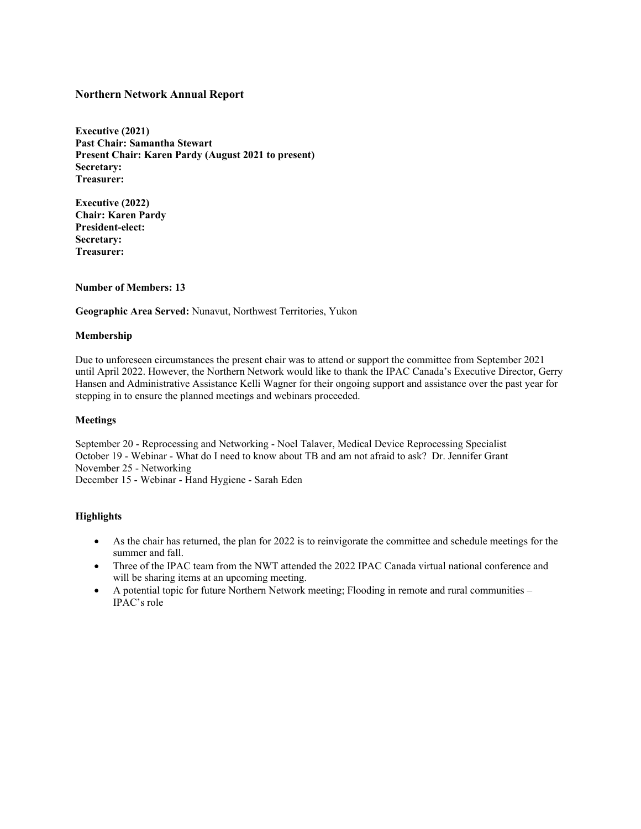## **Northern Network Annual Report**

**Executive (2021) Past Chair: Samantha Stewart Present Chair: Karen Pardy (August 2021 to present) Secretary: Treasurer:** 

**Executive (2022) Chair: Karen Pardy President-elect: Secretary: Treasurer:** 

## **Number of Members: 13**

**Geographic Area Served:** Nunavut, Northwest Territories, Yukon

#### **Membership**

Due to unforeseen circumstances the present chair was to attend or support the committee from September 2021 until April 2022. However, the Northern Network would like to thank the IPAC Canada's Executive Director, Gerry Hansen and Administrative Assistance Kelli Wagner for their ongoing support and assistance over the past year for stepping in to ensure the planned meetings and webinars proceeded.

#### **Meetings**

September 20 - Reprocessing and Networking - Noel Talaver, Medical Device Reprocessing Specialist October 19 - Webinar - What do I need to know about TB and am not afraid to ask? Dr. Jennifer Grant November 25 - Networking December 15 - Webinar - Hand Hygiene - Sarah Eden

#### **Highlights**

- As the chair has returned, the plan for 2022 is to reinvigorate the committee and schedule meetings for the summer and fall.
- Three of the IPAC team from the NWT attended the 2022 IPAC Canada virtual national conference and will be sharing items at an upcoming meeting.
- A potential topic for future Northern Network meeting; Flooding in remote and rural communities IPAC's role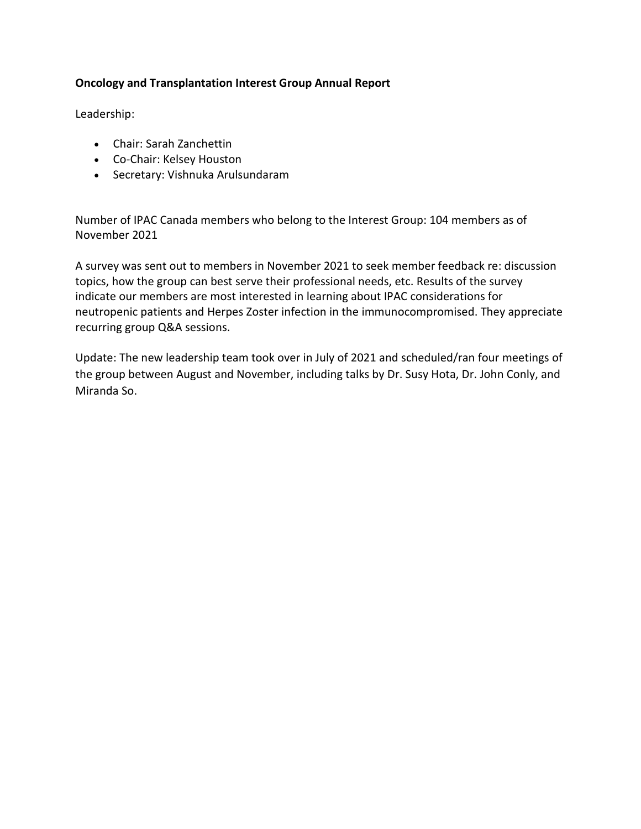# **Oncology and Transplantation Interest Group Annual Report**

Leadership:

- Chair: Sarah Zanchettin
- Co-Chair: Kelsey Houston
- Secretary: Vishnuka Arulsundaram

Number of IPAC Canada members who belong to the Interest Group: 104 members as of November 2021

A survey was sent out to members in November 2021 to seek member feedback re: discussion topics, how the group can best serve their professional needs, etc. Results of the survey indicate our members are most interested in learning about IPAC considerations for neutropenic patients and Herpes Zoster infection in the immunocompromised. They appreciate recurring group Q&A sessions.

Update: The new leadership team took over in July of 2021 and scheduled/ran four meetings of the group between August and November, including talks by Dr. Susy Hota, Dr. John Conly, and Miranda So.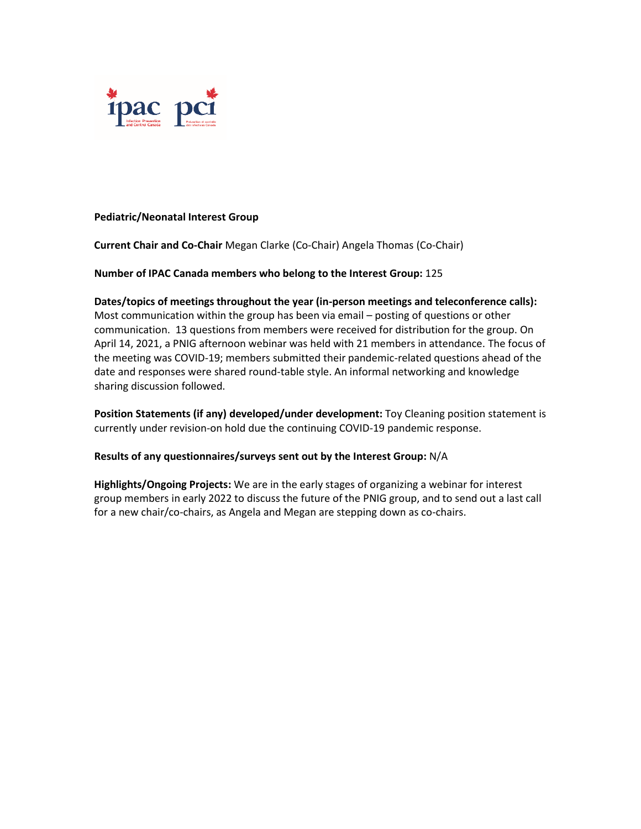

## **Pediatric/Neonatal Interest Group**

**Current Chair and Co-Chair** Megan Clarke (Co-Chair) Angela Thomas (Co-Chair)

**Number of IPAC Canada members who belong to the Interest Group:** 125

**Dates/topics of meetings throughout the year (in-person meetings and teleconference calls):**  Most communication within the group has been via email – posting of questions or other communication. 13 questions from members were received for distribution for the group. On April 14, 2021, a PNIG afternoon webinar was held with 21 members in attendance. The focus of the meeting was COVID-19; members submitted their pandemic-related questions ahead of the date and responses were shared round-table style. An informal networking and knowledge sharing discussion followed.

**Position Statements (if any) developed/under development:** Toy Cleaning position statement is currently under revision-on hold due the continuing COVID-19 pandemic response.

## **Results of any questionnaires/surveys sent out by the Interest Group:** N/A

**Highlights/Ongoing Projects:** We are in the early stages of organizing a webinar for interest group members in early 2022 to discuss the future of the PNIG group, and to send out a last call for a new chair/co-chairs, as Angela and Megan are stepping down as co-chairs.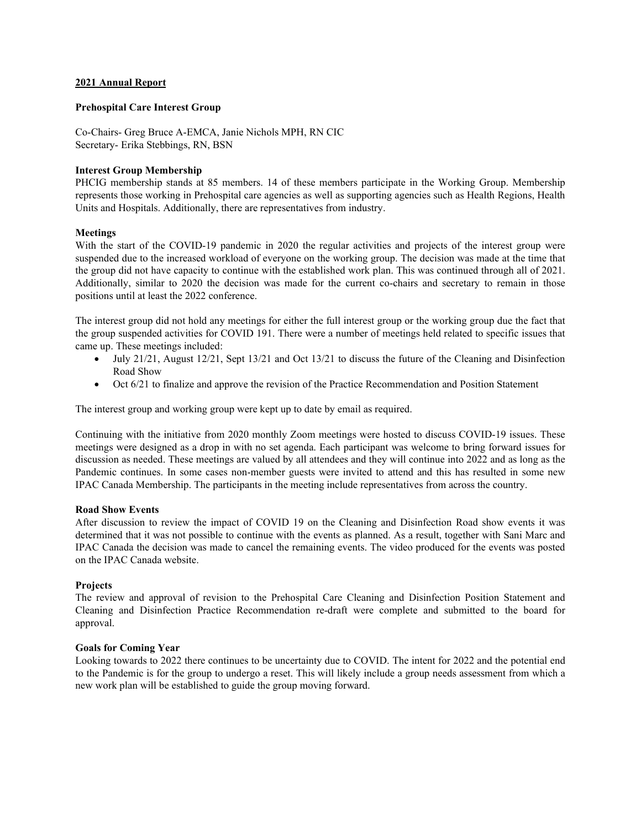#### **2021 Annual Report**

#### **Prehospital Care Interest Group**

Co-Chairs- Greg Bruce A-EMCA, Janie Nichols MPH, RN CIC Secretary- Erika Stebbings, RN, BSN

### **Interest Group Membership**

PHCIG membership stands at 85 members. 14 of these members participate in the Working Group. Membership represents those working in Prehospital care agencies as well as supporting agencies such as Health Regions, Health Units and Hospitals. Additionally, there are representatives from industry.

#### **Meetings**

With the start of the COVID-19 pandemic in 2020 the regular activities and projects of the interest group were suspended due to the increased workload of everyone on the working group. The decision was made at the time that the group did not have capacity to continue with the established work plan. This was continued through all of 2021. Additionally, similar to 2020 the decision was made for the current co-chairs and secretary to remain in those positions until at least the 2022 conference.

The interest group did not hold any meetings for either the full interest group or the working group due the fact that the group suspended activities for COVID 191. There were a number of meetings held related to specific issues that came up. These meetings included:

- July 21/21, August 12/21, Sept 13/21 and Oct 13/21 to discuss the future of the Cleaning and Disinfection Road Show
- Oct 6/21 to finalize and approve the revision of the Practice Recommendation and Position Statement

The interest group and working group were kept up to date by email as required.

Continuing with the initiative from 2020 monthly Zoom meetings were hosted to discuss COVID-19 issues. These meetings were designed as a drop in with no set agenda. Each participant was welcome to bring forward issues for discussion as needed. These meetings are valued by all attendees and they will continue into 2022 and as long as the Pandemic continues. In some cases non-member guests were invited to attend and this has resulted in some new IPAC Canada Membership. The participants in the meeting include representatives from across the country.

#### **Road Show Events**

After discussion to review the impact of COVID 19 on the Cleaning and Disinfection Road show events it was determined that it was not possible to continue with the events as planned. As a result, together with Sani Marc and IPAC Canada the decision was made to cancel the remaining events. The video produced for the events was posted on the IPAC Canada website.

#### **Projects**

The review and approval of revision to the Prehospital Care Cleaning and Disinfection Position Statement and Cleaning and Disinfection Practice Recommendation re-draft were complete and submitted to the board for approval.

#### **Goals for Coming Year**

Looking towards to 2022 there continues to be uncertainty due to COVID. The intent for 2022 and the potential end to the Pandemic is for the group to undergo a reset. This will likely include a group needs assessment from which a new work plan will be established to guide the group moving forward.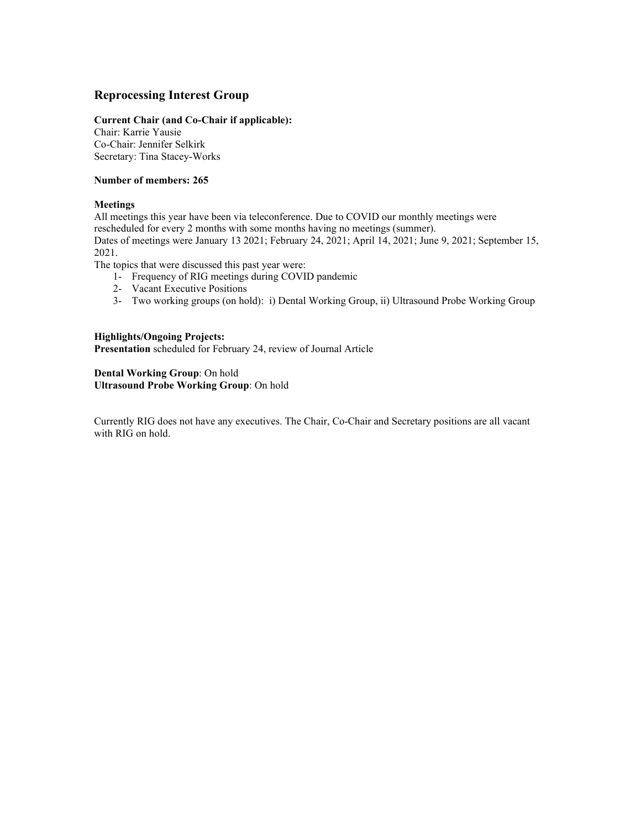# **Reprocessing Interest Group**

#### **Current Chair (and Co-Chair if applicable):**

Chair: Karrie Yausie Co-Chair: Jennifer Selkirk Secretary: Tina Stacey-Works

### **Number of members: 265**

#### **Meetings**

All meetings this year have been via teleconference. Due to COVID our monthly meetings were rescheduled for every 2 months with some months having no meetings (summer). Dates of meetings were January 13 2021; February 24, 2021; April 14, 2021; June 9, 2021; September 15, 2021.

The topics that were discussed this past year were:

- 1- Frequency of RIG meetings during COVID pandemic
- 2- Vacant Executive Positions
- 3- Two working groups (on hold): i) Dental Working Group, ii) Ultrasound Probe Working Group

#### **Highlights/Ongoing Projects: Presentation** scheduled for February 24, review of Journal Article

**Dental Working Group**: On hold **Ultrasound Probe Working Group**: On hold

Currently RIG does not have any executives. The Chair, Co-Chair and Secretary positions are all vacant with RIG on hold.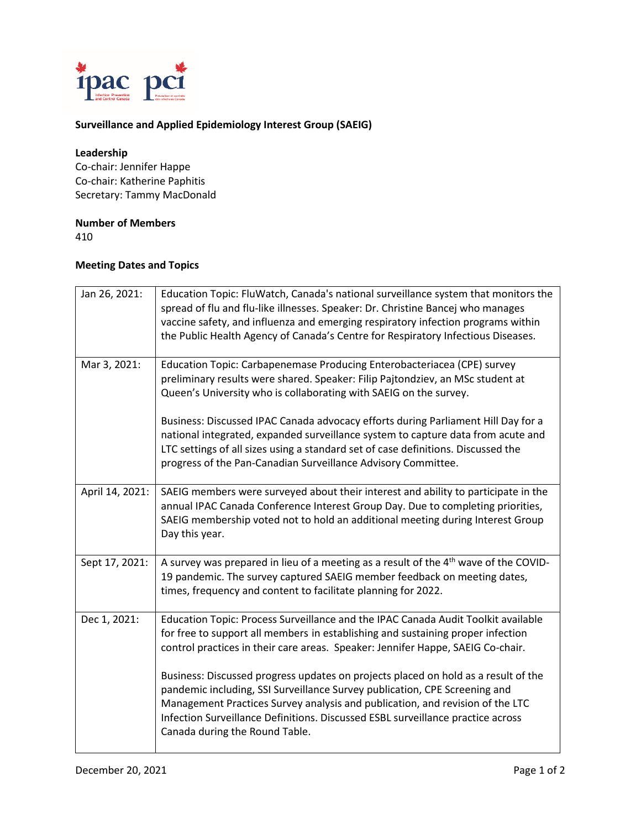

## **Surveillance and Applied Epidemiology Interest Group (SAEIG)**

### **Leadership**

Co-chair: Jennifer Happe Co-chair: Katherine Paphitis Secretary: Tammy MacDonald

## **Number of Members**

410

## **Meeting Dates and Topics**

| Jan 26, 2021:   | Education Topic: FluWatch, Canada's national surveillance system that monitors the<br>spread of flu and flu-like illnesses. Speaker: Dr. Christine Bancej who manages<br>vaccine safety, and influenza and emerging respiratory infection programs within<br>the Public Health Agency of Canada's Centre for Respiratory Infectious Diseases.                          |
|-----------------|------------------------------------------------------------------------------------------------------------------------------------------------------------------------------------------------------------------------------------------------------------------------------------------------------------------------------------------------------------------------|
| Mar 3, 2021:    | Education Topic: Carbapenemase Producing Enterobacteriacea (CPE) survey<br>preliminary results were shared. Speaker: Filip Pajtondziev, an MSc student at<br>Queen's University who is collaborating with SAEIG on the survey.                                                                                                                                         |
|                 | Business: Discussed IPAC Canada advocacy efforts during Parliament Hill Day for a<br>national integrated, expanded surveillance system to capture data from acute and<br>LTC settings of all sizes using a standard set of case definitions. Discussed the<br>progress of the Pan-Canadian Surveillance Advisory Committee.                                            |
| April 14, 2021: | SAEIG members were surveyed about their interest and ability to participate in the<br>annual IPAC Canada Conference Interest Group Day. Due to completing priorities,<br>SAEIG membership voted not to hold an additional meeting during Interest Group<br>Day this year.                                                                                              |
| Sept 17, 2021:  | A survey was prepared in lieu of a meeting as a result of the 4 <sup>th</sup> wave of the COVID-<br>19 pandemic. The survey captured SAEIG member feedback on meeting dates,<br>times, frequency and content to facilitate planning for 2022.                                                                                                                          |
| Dec 1, 2021:    | Education Topic: Process Surveillance and the IPAC Canada Audit Toolkit available<br>for free to support all members in establishing and sustaining proper infection<br>control practices in their care areas. Speaker: Jennifer Happe, SAEIG Co-chair.                                                                                                                |
|                 | Business: Discussed progress updates on projects placed on hold as a result of the<br>pandemic including, SSI Surveillance Survey publication, CPE Screening and<br>Management Practices Survey analysis and publication, and revision of the LTC<br>Infection Surveillance Definitions. Discussed ESBL surveillance practice across<br>Canada during the Round Table. |